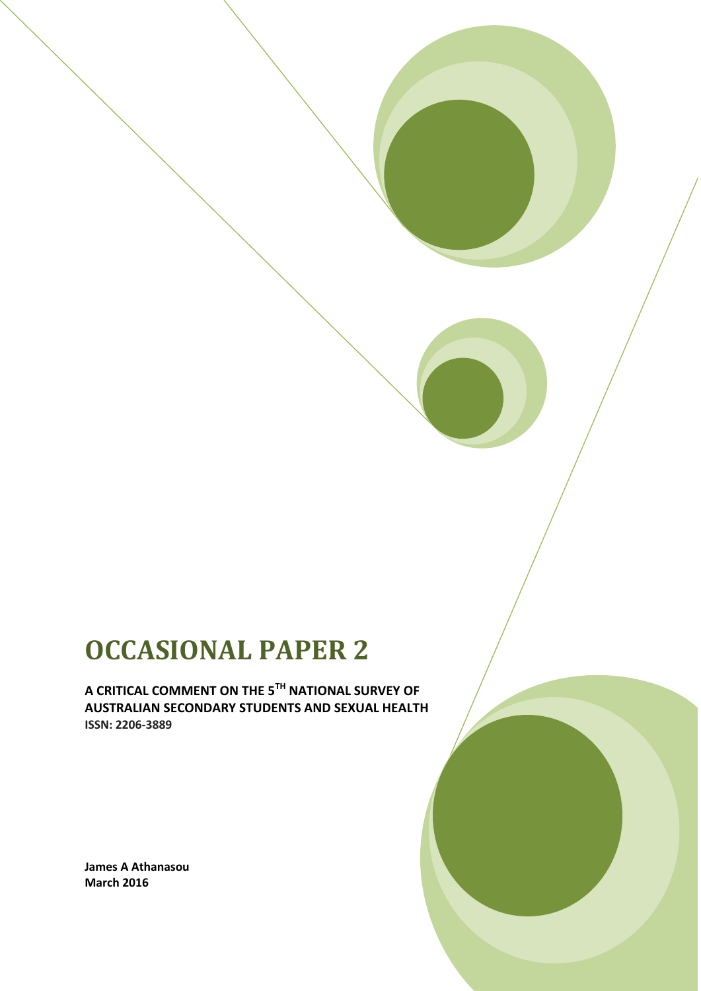# **OCCASIONAL PAPER 2**

**A CRITICAL COMMENT ON THE 5TH NATIONAL SURVEY OF AUSTRALIAN SECONDARY STUDENTS AND SEXUAL HEALTH ISSN: 2206-3889**

**James A Athanasou March 2016**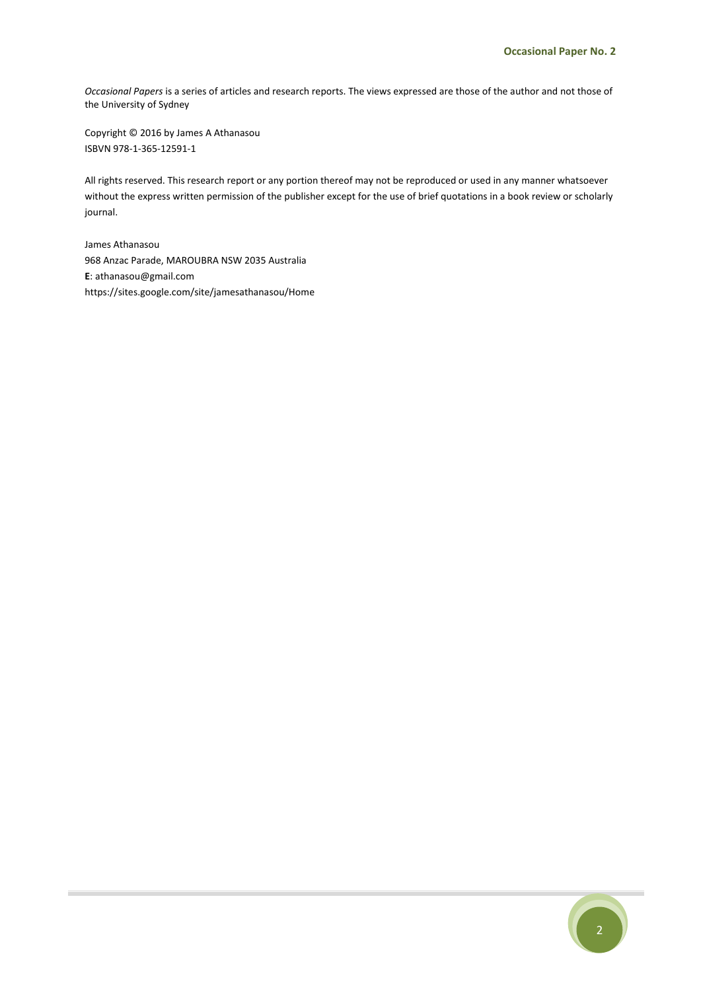*Occasional Papers* is a series of articles and research reports. The views expressed are those of the author and not those of the University of Sydney

Copyright © 2016 by James A Athanasou ISBVN 978-1-365-12591-1

All rights reserved. This research report or any portion thereof may not be reproduced or used in any manner whatsoever without the express written permission of the publisher except for the use of brief quotations in a book review or scholarly journal.

James Athanasou 968 Anzac Parade, MAROUBRA NSW 2035 Australia **E**: athanasou@gmail.com https://sites.google.com/site/jamesathanasou/Home

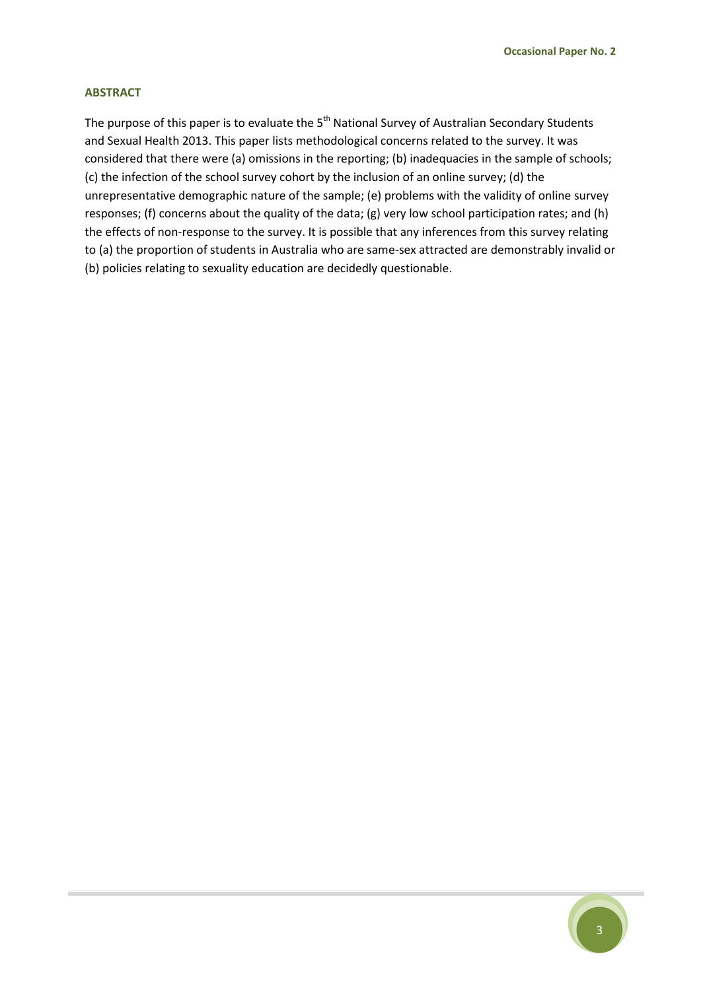#### **ABSTRACT**

The purpose of this paper is to evaluate the 5<sup>th</sup> National Survey of Australian Secondary Students and Sexual Health 2013. This paper lists methodological concerns related to the survey. It was considered that there were (a) omissions in the reporting; (b) inadequacies in the sample of schools; (c) the infection of the school survey cohort by the inclusion of an online survey; (d) the unrepresentative demographic nature of the sample; (e) problems with the validity of online survey responses; (f) concerns about the quality of the data; (g) very low school participation rates; and (h) the effects of non-response to the survey. It is possible that any inferences from this survey relating to (a) the proportion of students in Australia who are same-sex attracted are demonstrably invalid or (b) policies relating to sexuality education are decidedly questionable.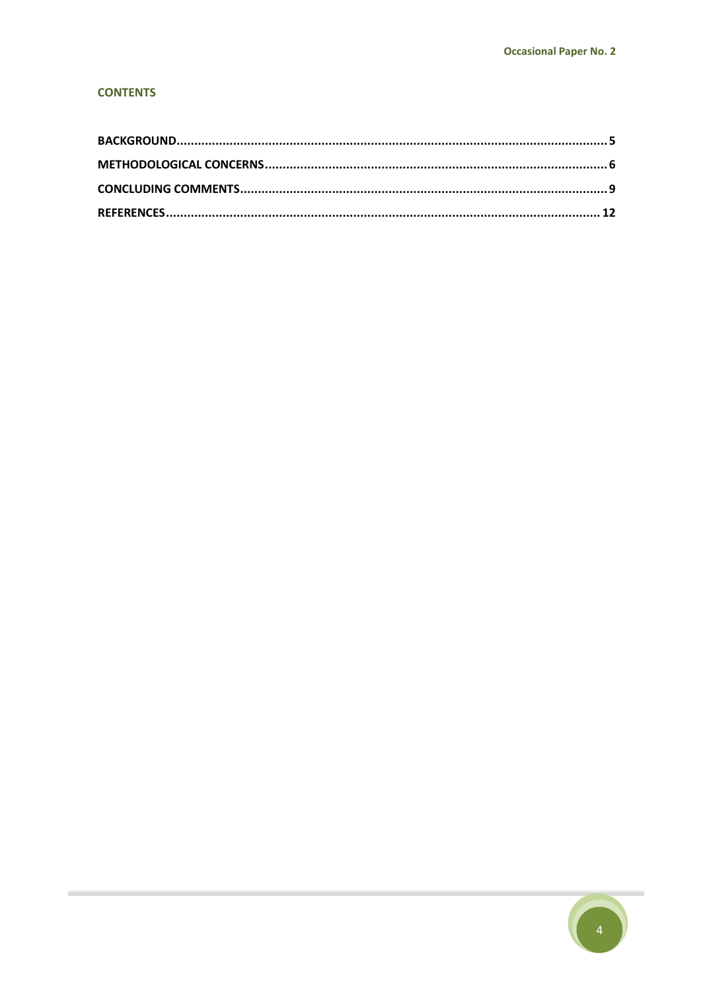#### **CONTENTS**

**College** 

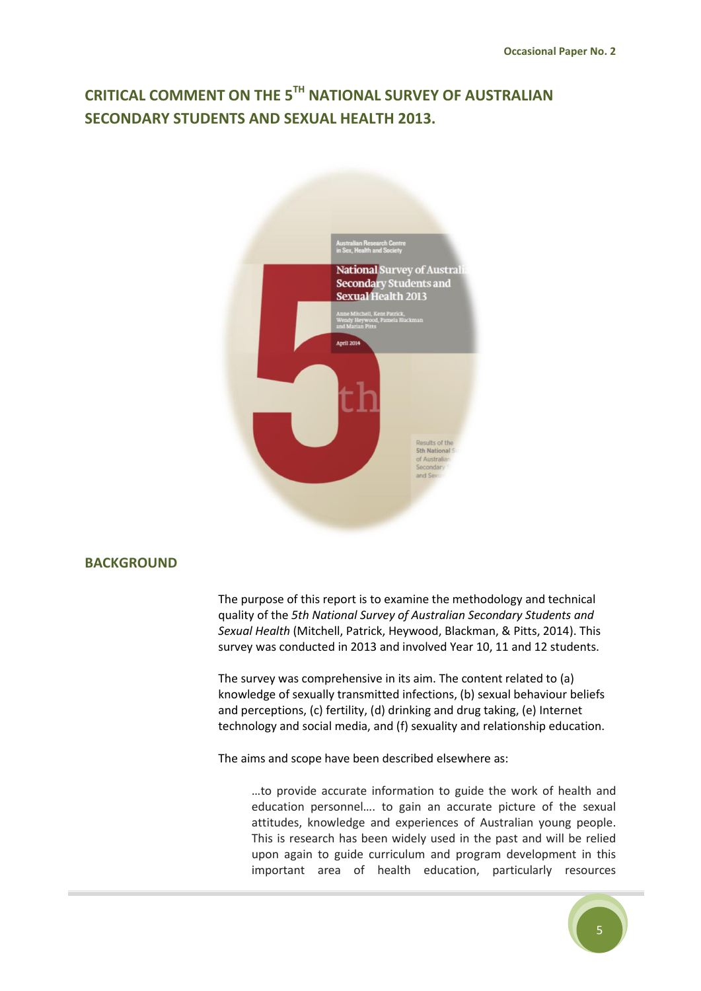# **CRITICAL COMMENT ON THE 5TH NATIONAL SURVEY OF AUSTRALIAN SECONDARY STUDENTS AND SEXUAL HEALTH 2013.**



### <span id="page-4-0"></span>**BACKGROUND**

The purpose of this report is to examine the methodology and technical quality of the *5th National Survey of Australian Secondary Students and Sexual Health* (Mitchell, Patrick, Heywood, Blackman, & Pitts, 2014). This survey was conducted in 2013 and involved Year 10, 11 and 12 students.

The survey was comprehensive in its aim. The content related to (a) knowledge of sexually transmitted infections, (b) sexual behaviour beliefs and perceptions, (c) fertility, (d) drinking and drug taking, (e) Internet technology and social media, and (f) sexuality and relationship education.

The aims and scope have been described elsewhere as:

…to provide accurate information to guide the work of health and education personnel…. to gain an accurate picture of the sexual attitudes, knowledge and experiences of Australian young people. This is research has been widely used in the past and will be relied upon again to guide curriculum and program development in this important area of health education, particularly resources

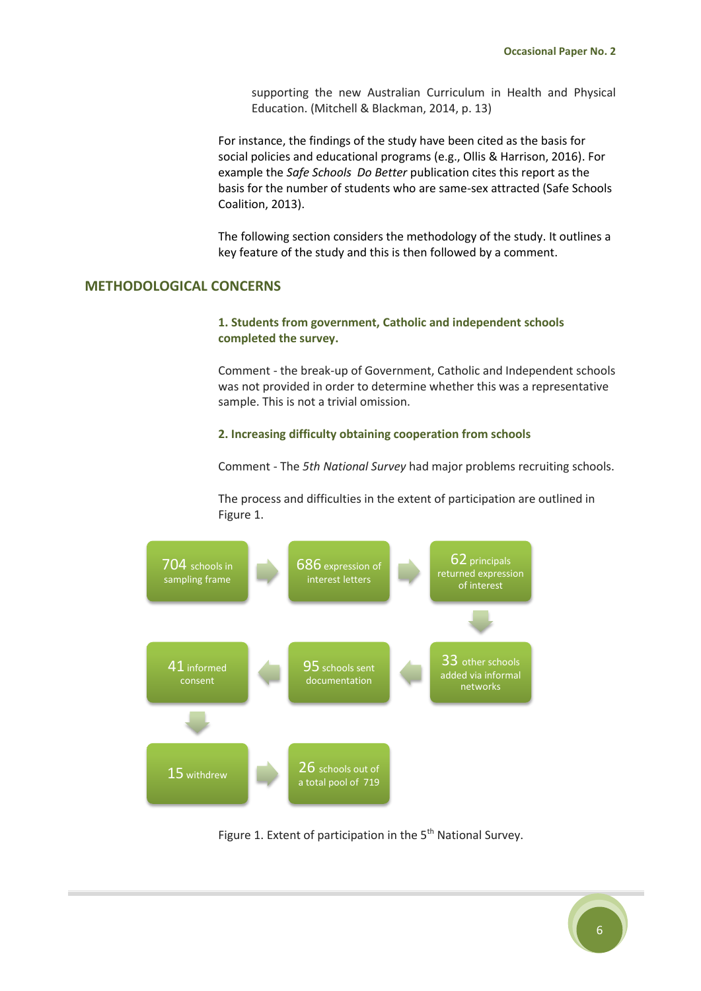supporting the new Australian Curriculum in Health and Physical Education. (Mitchell & Blackman, 2014, p. 13)

For instance, the findings of the study have been cited as the basis for social policies and educational programs (e.g., Ollis & Harrison, 2016). For example the *Safe Schools Do Better* publication cites this report as the basis for the number of students who are same-sex attracted (Safe Schools Coalition, 2013).

The following section considers the methodology of the study. It outlines a key feature of the study and this is then followed by a comment.

#### <span id="page-5-0"></span>**METHODOLOGICAL CONCERNS**

#### **1. Students from government, Catholic and independent schools completed the survey.**

Comment - the break-up of Government, Catholic and Independent schools was not provided in order to determine whether this was a representative sample. This is not a trivial omission.

#### **2. Increasing difficulty obtaining cooperation from schools**

Comment - The *5th National Survey* had major problems recruiting schools.

The process and difficulties in the extent of participation are outlined in Figure 1.



Figure 1. Extent of participation in the  $5<sup>th</sup>$  National Survey.

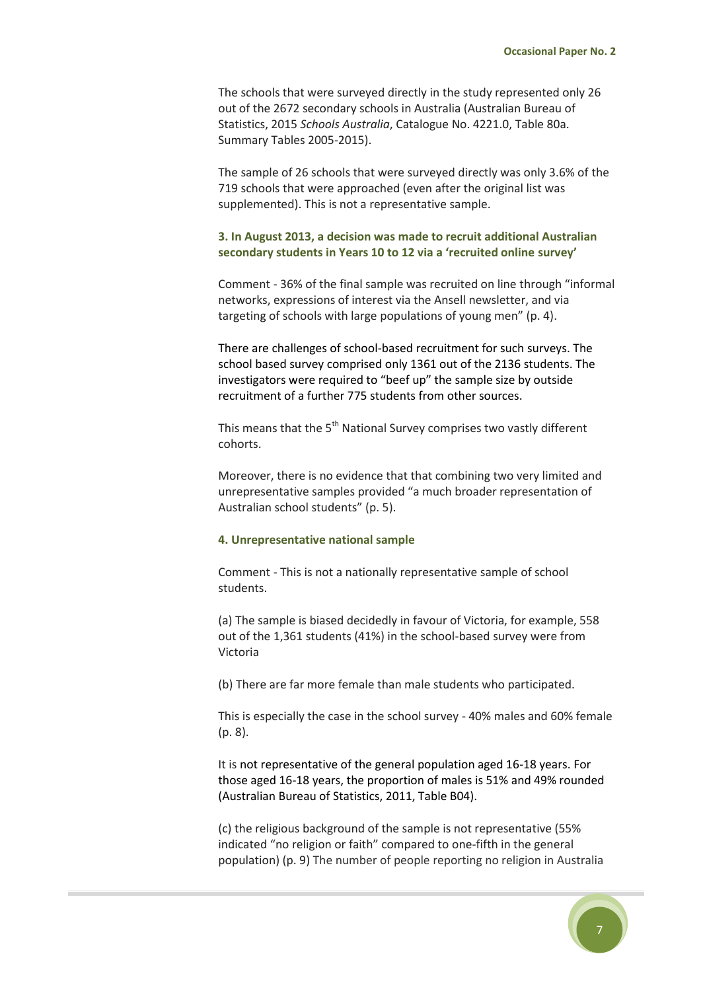The schools that were surveyed directly in the study represented only 26 out of the 2672 secondary schools in Australia (Australian Bureau of Statistics, 2015 *Schools Australia*, Catalogue No. 4221.0, Table 80a. Summary Tables 2005-2015).

The sample of 26 schools that were surveyed directly was only 3.6% of the 719 schools that were approached (even after the original list was supplemented). This is not a representative sample.

#### **3. In August 2013, a decision was made to recruit additional Australian secondary students in Years 10 to 12 via a 'recruited online survey'**

Comment - 36% of the final sample was recruited on line through "informal networks, expressions of interest via the Ansell newsletter, and via targeting of schools with large populations of young men" (p. 4).

There are challenges of school-based recruitment for such surveys. The school based survey comprised only 1361 out of the 2136 students. The investigators were required to "beef up" the sample size by outside recruitment of a further 775 students from other sources.

This means that the 5<sup>th</sup> National Survey comprises two vastly different cohorts.

Moreover, there is no evidence that that combining two very limited and unrepresentative samples provided "a much broader representation of Australian school students" (p. 5).

#### **4. Unrepresentative national sample**

Comment - This is not a nationally representative sample of school students.

(a) The sample is biased decidedly in favour of Victoria, for example, 558 out of the 1,361 students (41%) in the school-based survey were from Victoria

(b) There are far more female than male students who participated.

This is especially the case in the school survey - 40% males and 60% female (p. 8).

It is not representative of the general population aged 16-18 years. For those aged 16-18 years, the proportion of males is 51% and 49% rounded (Australian Bureau of Statistics, 2011, Table B04).

(c) the religious background of the sample is not representative (55% indicated "no religion or faith" compared to one-fifth in the general population) (p. 9) The number of people reporting no religion in Australia

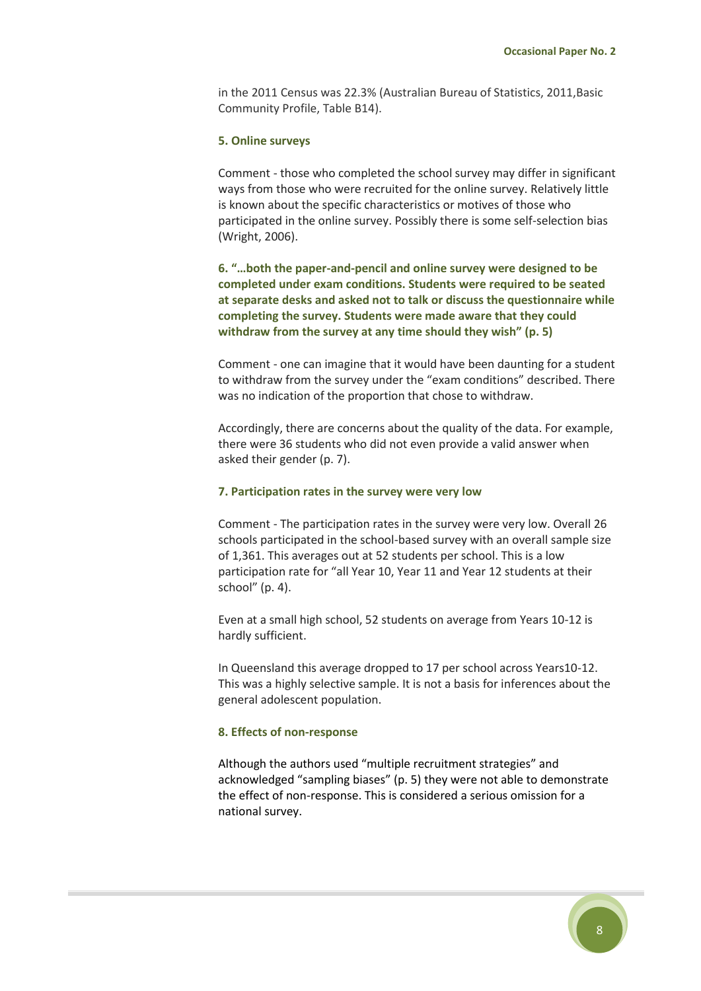in the 2011 Census was 22.3% (Australian Bureau of Statistics, 2011,Basic Community Profile, Table B14).

#### **5. Online surveys**

Comment - those who completed the school survey may differ in significant ways from those who were recruited for the online survey. Relatively little is known about the specific characteristics or motives of those who participated in the online survey. Possibly there is some self-selection bias (Wright, 2006).

**6. "…both the paper-and-pencil and online survey were designed to be completed under exam conditions. Students were required to be seated at separate desks and asked not to talk or discuss the questionnaire while completing the survey. Students were made aware that they could withdraw from the survey at any time should they wish" (p. 5)**

Comment - one can imagine that it would have been daunting for a student to withdraw from the survey under the "exam conditions" described. There was no indication of the proportion that chose to withdraw.

Accordingly, there are concerns about the quality of the data. For example, there were 36 students who did not even provide a valid answer when asked their gender (p. 7).

#### **7. Participation rates in the survey were very low**

Comment - The participation rates in the survey were very low. Overall 26 schools participated in the school-based survey with an overall sample size of 1,361. This averages out at 52 students per school. This is a low participation rate for "all Year 10, Year 11 and Year 12 students at their school" (p. 4).

Even at a small high school, 52 students on average from Years 10-12 is hardly sufficient.

In Queensland this average dropped to 17 per school across Years10-12. This was a highly selective sample. It is not a basis for inferences about the general adolescent population.

#### **8. Effects of non-response**

Although the authors used "multiple recruitment strategies" and acknowledged "sampling biases" (p. 5) they were not able to demonstrate the effect of non-response. This is considered a serious omission for a national survey.

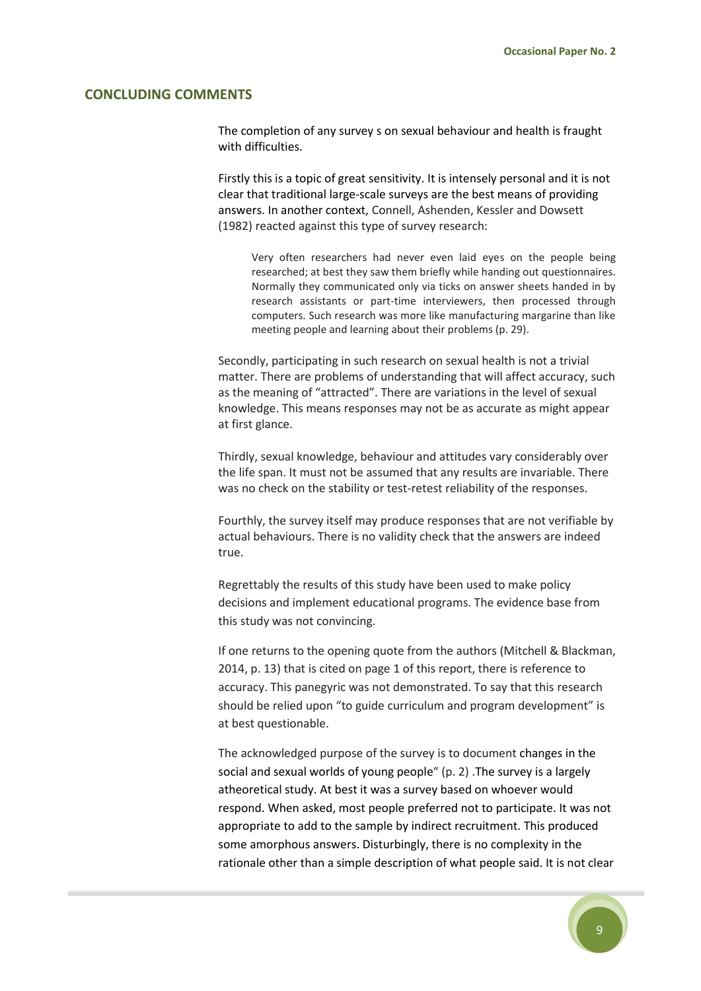#### <span id="page-8-0"></span>**CONCLUDING COMMENTS**

The completion of any survey s on sexual behaviour and health is fraught with difficulties.

Firstly this is a topic of great sensitivity. It is intensely personal and it is not clear that traditional large-scale surveys are the best means of providing answers. In another context, Connell, Ashenden, Kessler and Dowsett (1982) reacted against this type of survey research:

Very often researchers had never even laid eyes on the people being researched; at best they saw them briefly while handing out questionnaires. Normally they communicated only via ticks on answer sheets handed in by research assistants or part-time interviewers, then processed through computers. Such research was more like manufacturing margarine than like meeting people and learning about their problems (p. 29).

Secondly, participating in such research on sexual health is not a trivial matter. There are problems of understanding that will affect accuracy, such as the meaning of "attracted". There are variations in the level of sexual knowledge. This means responses may not be as accurate as might appear at first glance.

Thirdly, sexual knowledge, behaviour and attitudes vary considerably over the life span. It must not be assumed that any results are invariable. There was no check on the stability or test-retest reliability of the responses.

Fourthly, the survey itself may produce responses that are not verifiable by actual behaviours. There is no validity check that the answers are indeed true.

Regrettably the results of this study have been used to make policy decisions and implement educational programs. The evidence base from this study was not convincing.

If one returns to the opening quote from the authors (Mitchell & Blackman, 2014, p. 13) that is cited on page 1 of this report, there is reference to accuracy. This panegyric was not demonstrated. To say that this research should be relied upon "to guide curriculum and program development" is at best questionable.

The acknowledged purpose of the survey is to document changes in the social and sexual worlds of young people" (p. 2) .The survey is a largely atheoretical study. At best it was a survey based on whoever would respond. When asked, most people preferred not to participate. It was not appropriate to add to the sample by indirect recruitment. This produced some amorphous answers. Disturbingly, there is no complexity in the rationale other than a simple description of what people said. It is not clear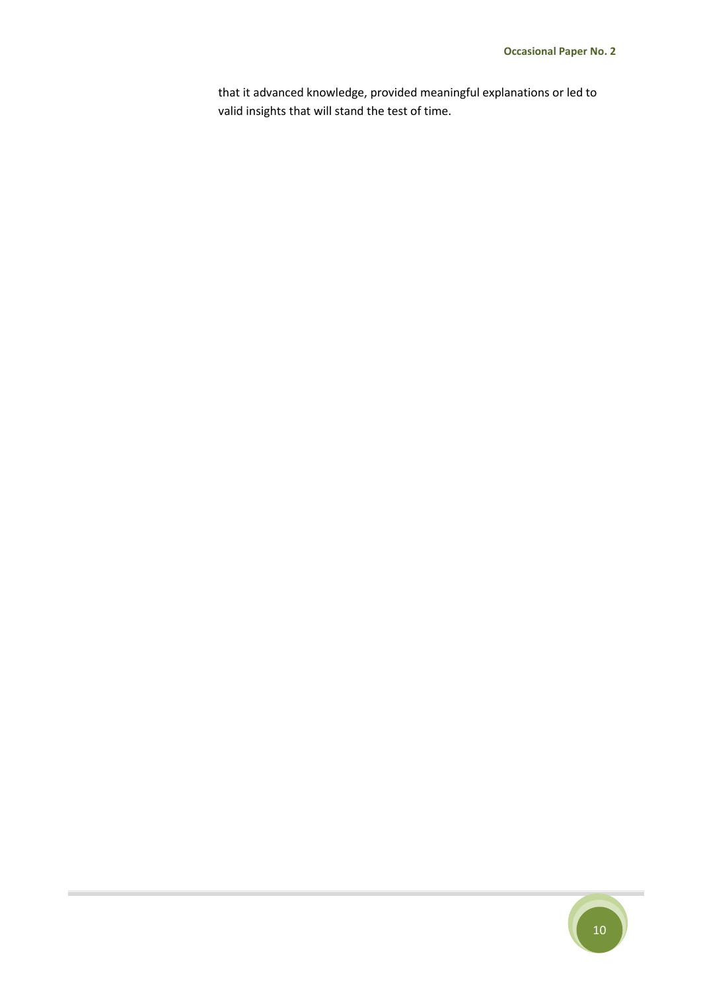that it advanced knowledge, provided meaningful explanations or led to valid insights that will stand the test of time.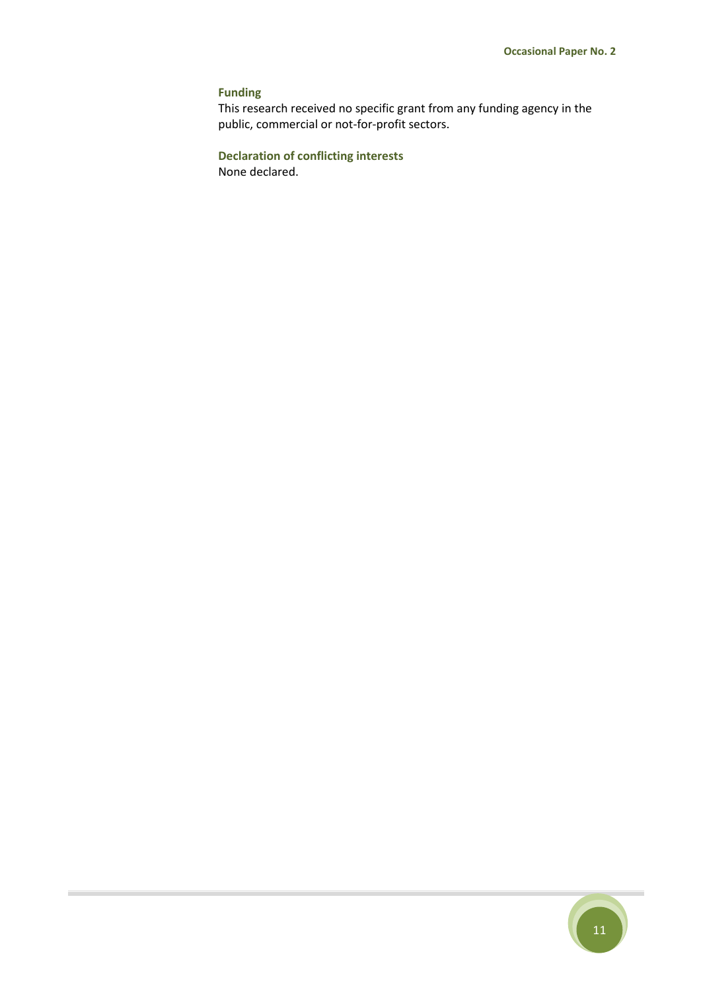## **Funding**

This research received no specific grant from any funding agency in the public, commercial or not-for-profit sectors.

**Declaration of conflicting interests** None declared.

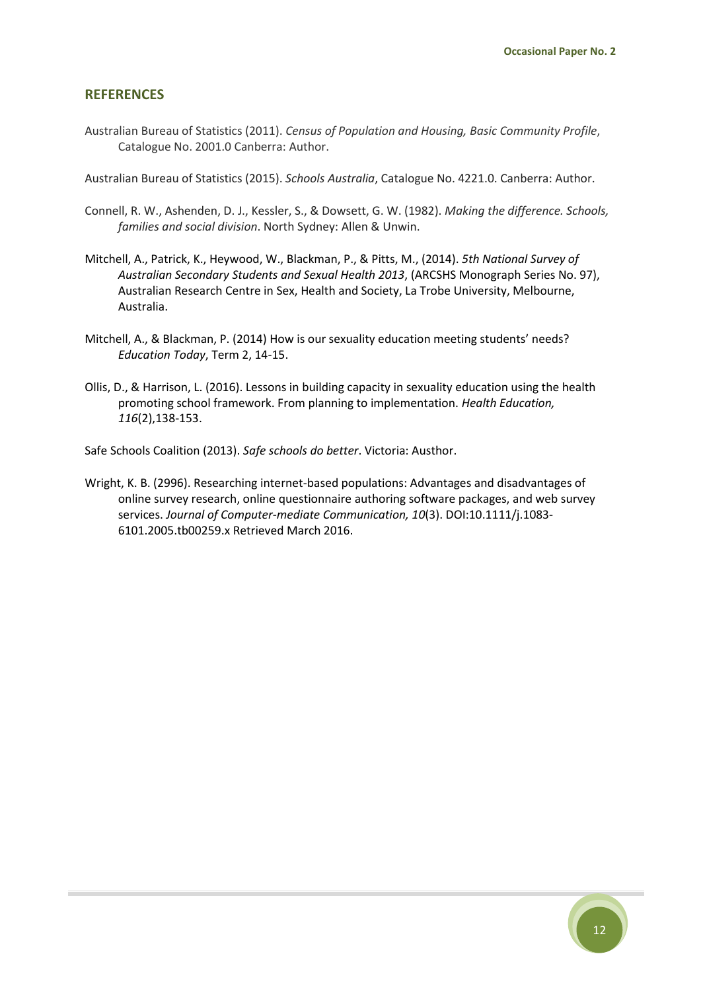#### <span id="page-11-0"></span>**REFERENCES**

Australian Bureau of Statistics (2011). *Census of Population and Housing, Basic Community Profile*, Catalogue No. 2001.0 Canberra: Author.

Australian Bureau of Statistics (2015). *Schools Australia*, Catalogue No. 4221.0. Canberra: Author.

- Connell, R. W., Ashenden, D. J., Kessler, S., & Dowsett, G. W. (1982). *Making the difference. Schools, families and social division*. North Sydney: Allen & Unwin.
- Mitchell, A., Patrick, K., Heywood, W., Blackman, P., & Pitts, M., (2014). *5th National Survey of Australian Secondary Students and Sexual Health 2013*, (ARCSHS Monograph Series No. 97), Australian Research Centre in Sex, Health and Society, La Trobe University, Melbourne, Australia.
- Mitchell, A., & Blackman, P. (2014) How is our sexuality education meeting students' needs? *Education Today*, Term 2, 14-15.
- Ollis, D., & Harrison, L. (2016). Lessons in building capacity in sexuality education using the health promoting school framework. From planning to implementation. *Health Education, 116*(2),138-153.

Safe Schools Coalition (2013). *Safe schools do better*. Victoria: Austhor.

Wright, K. B. (2996). Researching internet-based populations: Advantages and disadvantages of online survey research, online questionnaire authoring software packages, and web survey services. *Journal of Computer-mediate Communication, 10*(3). DOI:10.1111/j.1083- 6101.2005.tb00259.x Retrieved March 2016.